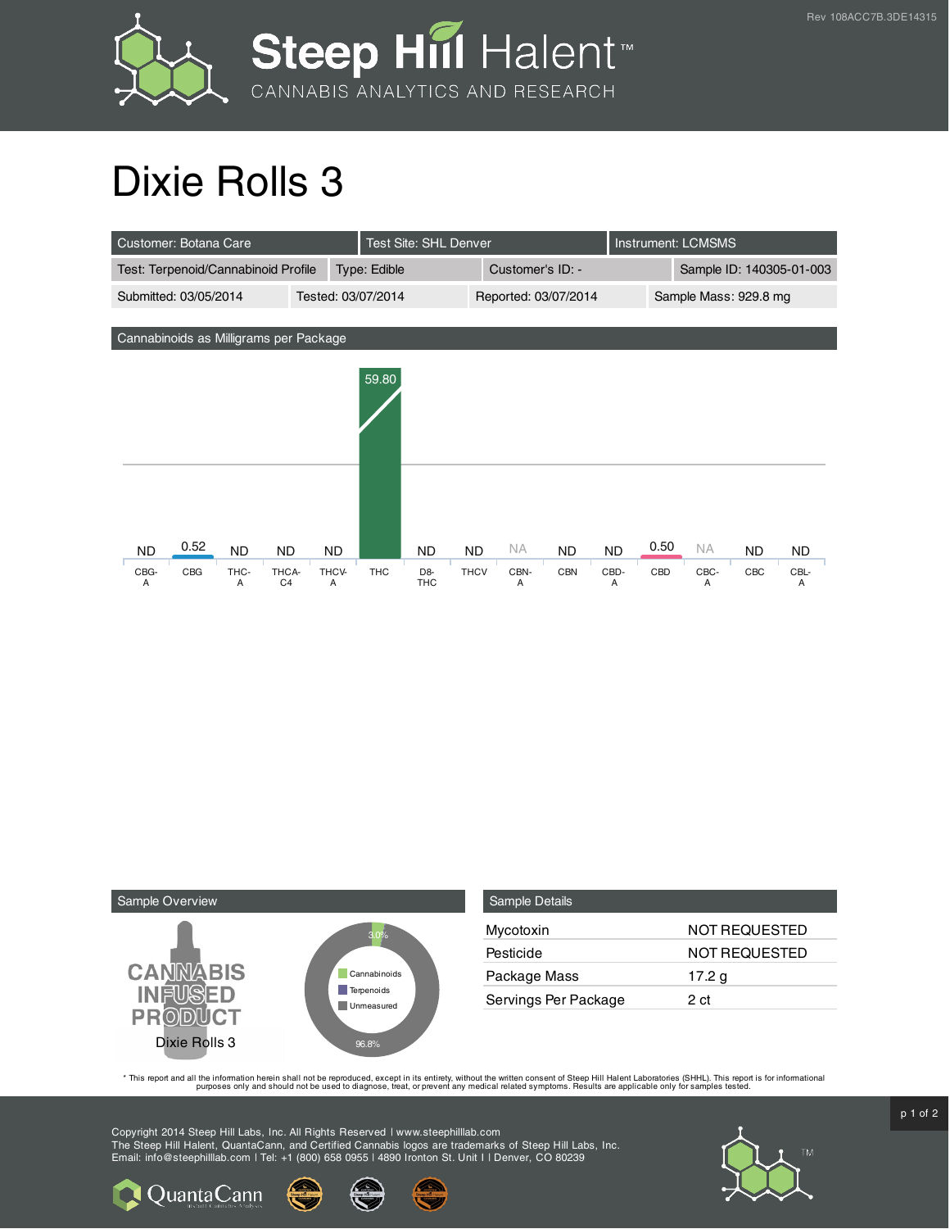

## Dixie Rolls 3

| Customer: Botana Care                  | <b>Test Site: SHL Denver</b> |            |                    |                              |             |                      | <b>Instrument: LCMSMS</b> |           |      |                          |     |           |
|----------------------------------------|------------------------------|------------|--------------------|------------------------------|-------------|----------------------|---------------------------|-----------|------|--------------------------|-----|-----------|
| Test: Terpenoid/Cannabinoid Profile    |                              |            | Type: Edible       |                              |             | Customer's ID: -     |                           |           |      | Sample ID: 140305-01-003 |     |           |
| Submitted: 03/05/2014                  |                              |            | Tested: 03/07/2014 |                              |             | Reported: 03/07/2014 |                           |           |      | Sample Mass: 929.8 mg    |     |           |
|                                        |                              |            |                    |                              |             |                      |                           |           |      |                          |     |           |
| Cannabinoids as Milligrams per Package |                              |            |                    |                              |             |                      |                           |           |      |                          |     |           |
|                                        |                              |            |                    |                              |             |                      |                           |           |      |                          |     |           |
|                                        |                              |            | 59.80              |                              |             |                      |                           |           |      |                          |     |           |
|                                        |                              |            |                    |                              |             |                      |                           |           |      |                          |     |           |
|                                        |                              |            |                    |                              |             |                      |                           |           |      |                          |     |           |
|                                        |                              |            |                    |                              |             |                      |                           |           |      |                          |     |           |
|                                        |                              |            |                    |                              |             |                      |                           |           |      |                          |     |           |
|                                        |                              |            |                    |                              |             |                      |                           |           |      |                          |     |           |
|                                        |                              |            |                    |                              |             |                      |                           |           |      |                          |     |           |
| 0.52<br><b>ND</b><br><b>ND</b>         | <b>ND</b>                    | <b>ND</b>  |                    | <b>ND</b>                    | <b>ND</b>   | NA.                  | <b>ND</b>                 | <b>ND</b> | 0.50 | <b>NA</b>                | ND. | <b>ND</b> |
| CBG<br>THC-<br>CBG-<br>A<br>A          | THCA-<br>C <sub>4</sub>      | THCV-<br>A | <b>THC</b>         | D <sub>8</sub><br><b>THC</b> | <b>THCV</b> | CBN-<br>Α            | <b>CBN</b>                | CBD-<br>A | CBD  | CBC-<br>A                | CBC | CBL-<br>A |



Quanta Cann

| <b>Sample Details</b> |                      |
|-----------------------|----------------------|
| Mycotoxin             | <b>NOT REQUESTED</b> |
| Pesticide             | <b>NOT REQUESTED</b> |
| Package Mass          | 17.2 g               |
| Servings Per Package  | 2 ct                 |

This report and all the information herein shall not be reporduced, except in its entirety, without the written consent of Steep Hill Halent Laboratories (SHHL). This report is for informational all the instance, treat, or

Copyright 2014 Steep Hill Labs, Inc. All Rights Reserved | www.steephilllab.com The Steep Hill Halent, QuantaCann, and Certified Cannabis logos are trademarks of Steep Hill Labs, Inc. Email: info@steephilllab.com | Tel: +1 (800) 658 0955 | 4890 Ironton St. Unit I | Denver, CO 80239



 $p$  1 of 2